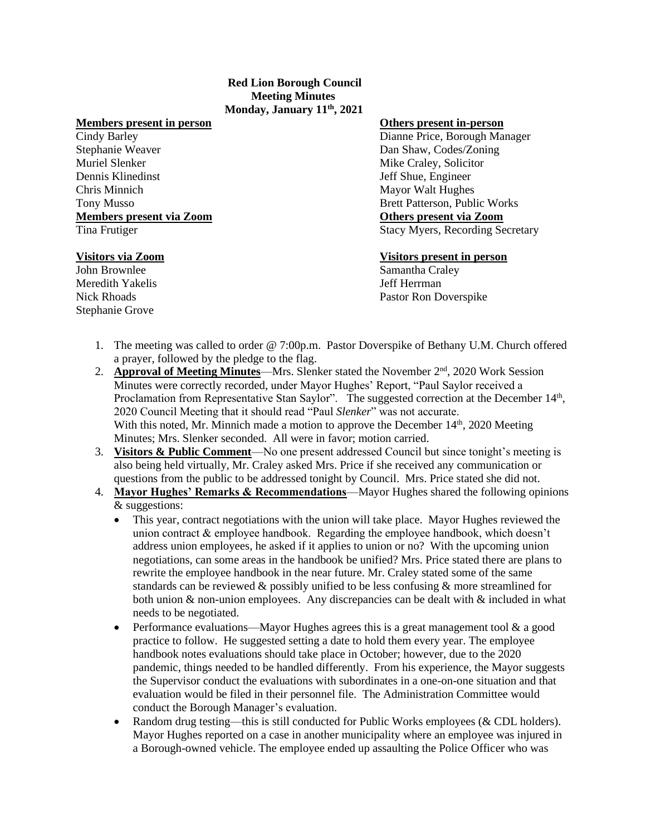## **Red Lion Borough Council Meeting Minutes Monday, January 11th, 2021**

## **Members present in person Others present in-person**

Stephanie Weaver Dan Shaw, Codes/Zoning Muriel Slenker **Mike Craley**, Solicitor **Mike Craley**, Solicitor Dennis Klinedinst Jeff Shue, Engineer Chris Minnich Mayor Walt Hughes **Members present via Zoom** 

John Brownlee Samantha Craley Meredith Yakelis Jeff Herrman Stephanie Grove

Cindy Barley Dianne Price, Borough Manager Tony Musso<br> **Members present via Zoom**<br> **Com**<br> **Com**<br> **Com**<br> **Com**<br> **Com**<br> **Com**<br> **Com**<br> **Com**<br> **Com** Tina Frutiger Stacy Myers, Recording Secretary

## **Visitors via Zoom Visitors present in person**

Nick Rhoads **Pastor Ron Doverspike** Pastor Ron Doverspike

- 1. The meeting was called to order @ 7:00p.m. Pastor Doverspike of Bethany U.M. Church offered a prayer, followed by the pledge to the flag.
- 2. **Approval of Meeting Minutes**—Mrs. Slenker stated the November 2<sup>nd</sup>, 2020 Work Session Minutes were correctly recorded, under Mayor Hughes' Report, "Paul Saylor received a Proclamation from Representative Stan Saylor". The suggested correction at the December 14<sup>th</sup>, 2020 Council Meeting that it should read "Paul *Slenker*" was not accurate. With this noted, Mr. Minnich made a motion to approve the December  $14<sup>th</sup>$ , 2020 Meeting Minutes; Mrs. Slenker seconded. All were in favor; motion carried.
- 3. **Visitors & Public Comment**—No one present addressed Council but since tonight's meeting is also being held virtually, Mr. Craley asked Mrs. Price if she received any communication or questions from the public to be addressed tonight by Council. Mrs. Price stated she did not.
- 4. **Mayor Hughes' Remarks & Recommendations**—Mayor Hughes shared the following opinions & suggestions:
	- This year, contract negotiations with the union will take place. Mayor Hughes reviewed the union contract & employee handbook. Regarding the employee handbook, which doesn't address union employees, he asked if it applies to union or no? With the upcoming union negotiations, can some areas in the handbook be unified? Mrs. Price stated there are plans to rewrite the employee handbook in the near future. Mr. Craley stated some of the same standards can be reviewed  $\&$  possibly unified to be less confusing  $\&$  more streamlined for both union  $\&$  non-union employees. Any discrepancies can be dealt with  $\&$  included in what needs to be negotiated.
	- Performance evaluations—Mayor Hughes agrees this is a great management tool  $\&$  a good practice to follow. He suggested setting a date to hold them every year. The employee handbook notes evaluations should take place in October; however, due to the 2020 pandemic, things needed to be handled differently. From his experience, the Mayor suggests the Supervisor conduct the evaluations with subordinates in a one-on-one situation and that evaluation would be filed in their personnel file. The Administration Committee would conduct the Borough Manager's evaluation.
	- Random drug testing—this is still conducted for Public Works employees (& CDL holders). Mayor Hughes reported on a case in another municipality where an employee was injured in a Borough-owned vehicle. The employee ended up assaulting the Police Officer who was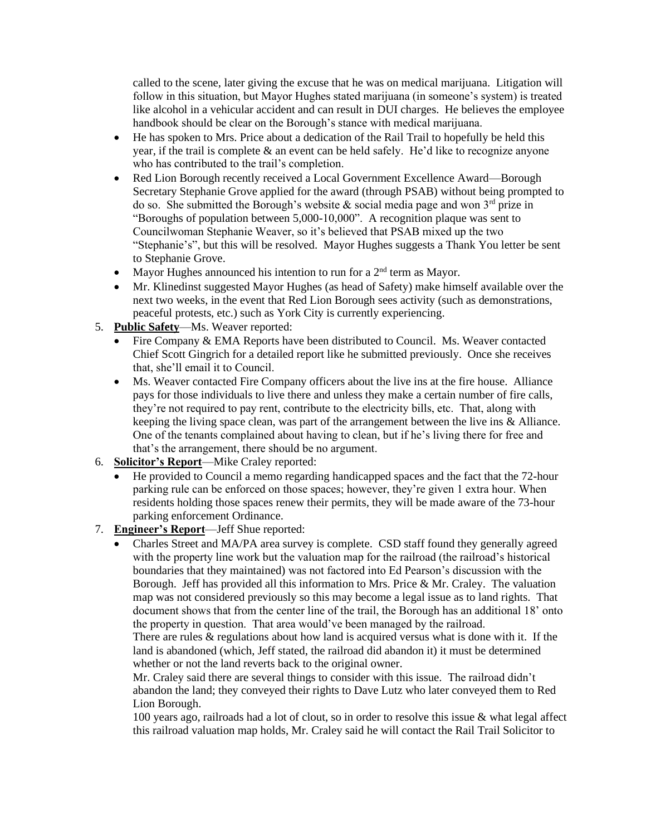called to the scene, later giving the excuse that he was on medical marijuana. Litigation will follow in this situation, but Mayor Hughes stated marijuana (in someone's system) is treated like alcohol in a vehicular accident and can result in DUI charges. He believes the employee handbook should be clear on the Borough's stance with medical marijuana.

- He has spoken to Mrs. Price about a dedication of the Rail Trail to hopefully be held this year, if the trail is complete  $\&$  an event can be held safely. He'd like to recognize anyone who has contributed to the trail's completion.
- Red Lion Borough recently received a Local Government Excellence Award—Borough Secretary Stephanie Grove applied for the award (through PSAB) without being prompted to do so. She submitted the Borough's website  $\&$  social media page and won 3<sup>rd</sup> prize in "Boroughs of population between 5,000-10,000". A recognition plaque was sent to Councilwoman Stephanie Weaver, so it's believed that PSAB mixed up the two "Stephanie's", but this will be resolved. Mayor Hughes suggests a Thank You letter be sent to Stephanie Grove.
- Mayor Hughes announced his intention to run for a  $2<sup>nd</sup>$  term as Mayor.
- Mr. Klinedinst suggested Mayor Hughes (as head of Safety) make himself available over the next two weeks, in the event that Red Lion Borough sees activity (such as demonstrations, peaceful protests, etc.) such as York City is currently experiencing.
- 5. **Public Safety**—Ms. Weaver reported:
	- Fire Company & EMA Reports have been distributed to Council. Ms. Weaver contacted Chief Scott Gingrich for a detailed report like he submitted previously. Once she receives that, she'll email it to Council.
	- Ms. Weaver contacted Fire Company officers about the live ins at the fire house. Alliance pays for those individuals to live there and unless they make a certain number of fire calls, they're not required to pay rent, contribute to the electricity bills, etc. That, along with keeping the living space clean, was part of the arrangement between the live ins & Alliance. One of the tenants complained about having to clean, but if he's living there for free and that's the arrangement, there should be no argument.
- 6. **Solicitor's Report**—Mike Craley reported:
	- He provided to Council a memo regarding handicapped spaces and the fact that the 72-hour parking rule can be enforced on those spaces; however, they're given 1 extra hour. When residents holding those spaces renew their permits, they will be made aware of the 73-hour parking enforcement Ordinance.
- 7. **Engineer's Report**—Jeff Shue reported:
	- Charles Street and MA/PA area survey is complete. CSD staff found they generally agreed with the property line work but the valuation map for the railroad (the railroad's historical boundaries that they maintained) was not factored into Ed Pearson's discussion with the Borough. Jeff has provided all this information to Mrs. Price & Mr. Craley. The valuation map was not considered previously so this may become a legal issue as to land rights. That document shows that from the center line of the trail, the Borough has an additional 18' onto the property in question. That area would've been managed by the railroad.

There are rules & regulations about how land is acquired versus what is done with it. If the land is abandoned (which, Jeff stated, the railroad did abandon it) it must be determined whether or not the land reverts back to the original owner.

Mr. Craley said there are several things to consider with this issue. The railroad didn't abandon the land; they conveyed their rights to Dave Lutz who later conveyed them to Red Lion Borough.

100 years ago, railroads had a lot of clout, so in order to resolve this issue & what legal affect this railroad valuation map holds, Mr. Craley said he will contact the Rail Trail Solicitor to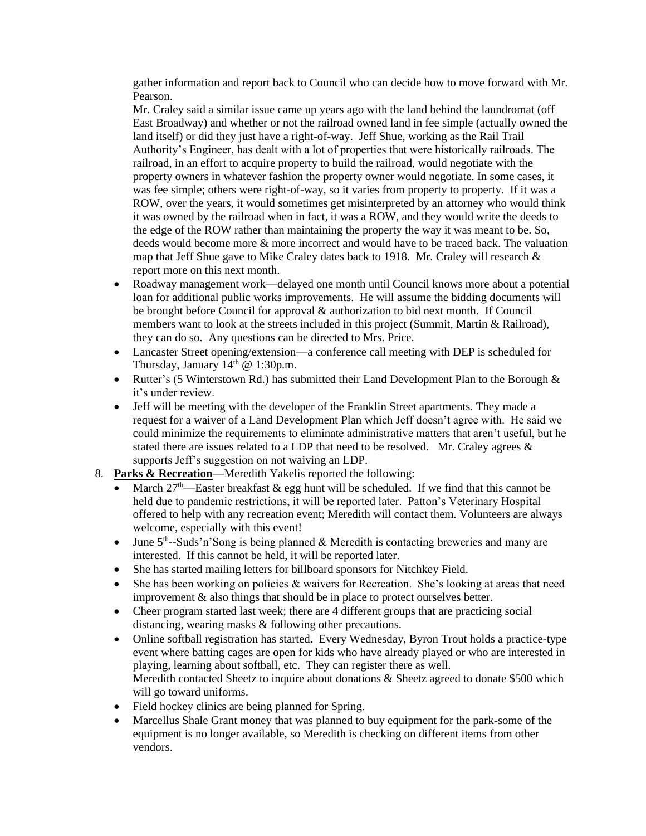gather information and report back to Council who can decide how to move forward with Mr. Pearson.

Mr. Craley said a similar issue came up years ago with the land behind the laundromat (off East Broadway) and whether or not the railroad owned land in fee simple (actually owned the land itself) or did they just have a right-of-way. Jeff Shue, working as the Rail Trail Authority's Engineer, has dealt with a lot of properties that were historically railroads. The railroad, in an effort to acquire property to build the railroad, would negotiate with the property owners in whatever fashion the property owner would negotiate. In some cases, it was fee simple; others were right-of-way, so it varies from property to property. If it was a ROW, over the years, it would sometimes get misinterpreted by an attorney who would think it was owned by the railroad when in fact, it was a ROW, and they would write the deeds to the edge of the ROW rather than maintaining the property the way it was meant to be. So, deeds would become more & more incorrect and would have to be traced back. The valuation map that Jeff Shue gave to Mike Craley dates back to 1918. Mr. Craley will research  $\&$ report more on this next month.

- Roadway management work—delayed one month until Council knows more about a potential loan for additional public works improvements. He will assume the bidding documents will be brought before Council for approval & authorization to bid next month. If Council members want to look at the streets included in this project (Summit, Martin & Railroad), they can do so. Any questions can be directed to Mrs. Price.
- Lancaster Street opening/extension—a conference call meeting with DEP is scheduled for Thursday, January  $14<sup>th</sup>$  @ 1:30p.m.
- Rutter's (5 Winterstown Rd.) has submitted their Land Development Plan to the Borough & it's under review.
- Jeff will be meeting with the developer of the Franklin Street apartments. They made a request for a waiver of a Land Development Plan which Jeff doesn't agree with. He said we could minimize the requirements to eliminate administrative matters that aren't useful, but he stated there are issues related to a LDP that need to be resolved. Mr. Craley agrees & supports Jeff's suggestion on not waiving an LDP.
- 8. **Parks & Recreation**—Meredith Yakelis reported the following:
	- March  $27<sup>th</sup>$ —Easter breakfast & egg hunt will be scheduled. If we find that this cannot be held due to pandemic restrictions, it will be reported later. Patton's Veterinary Hospital offered to help with any recreation event; Meredith will contact them. Volunteers are always welcome, especially with this event!
	- June  $5<sup>th</sup>$ -Suds'n'Song is being planned & Meredith is contacting breweries and many are interested. If this cannot be held, it will be reported later.
	- She has started mailing letters for billboard sponsors for Nitchkey Field.
	- She has been working on policies & waivers for Recreation. She's looking at areas that need improvement & also things that should be in place to protect ourselves better.
	- Cheer program started last week; there are 4 different groups that are practicing social distancing, wearing masks & following other precautions.
	- Online softball registration has started. Every Wednesday, Byron Trout holds a practice-type event where batting cages are open for kids who have already played or who are interested in playing, learning about softball, etc. They can register there as well. Meredith contacted Sheetz to inquire about donations & Sheetz agreed to donate \$500 which will go toward uniforms.
	- Field hockey clinics are being planned for Spring.
	- Marcellus Shale Grant money that was planned to buy equipment for the park-some of the equipment is no longer available, so Meredith is checking on different items from other vendors.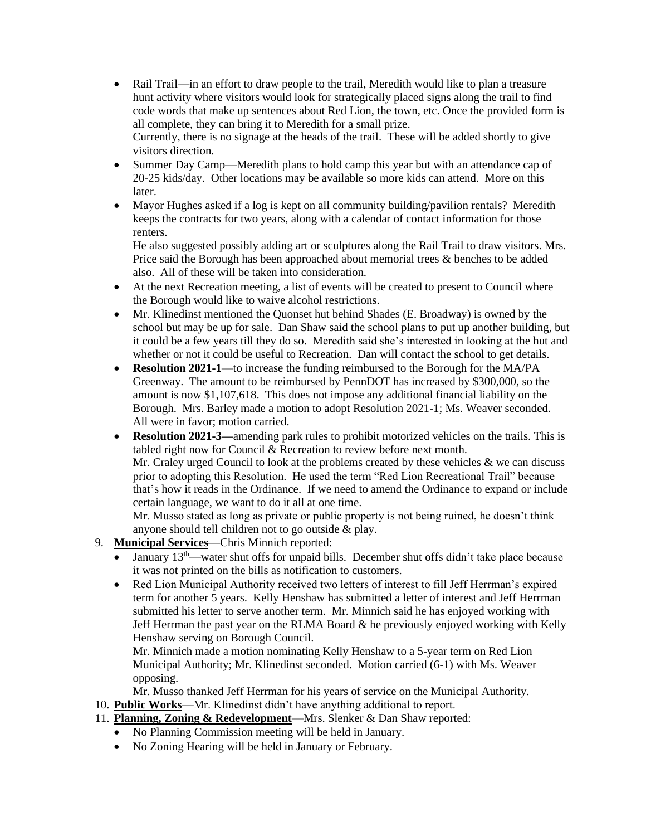- Rail Trail—in an effort to draw people to the trail, Meredith would like to plan a treasure hunt activity where visitors would look for strategically placed signs along the trail to find code words that make up sentences about Red Lion, the town, etc. Once the provided form is all complete, they can bring it to Meredith for a small prize. Currently, there is no signage at the heads of the trail. These will be added shortly to give visitors direction.
- Summer Day Camp—Meredith plans to hold camp this year but with an attendance cap of 20-25 kids/day. Other locations may be available so more kids can attend. More on this later.
- Mayor Hughes asked if a log is kept on all community building/pavilion rentals? Meredith keeps the contracts for two years, along with a calendar of contact information for those renters.

He also suggested possibly adding art or sculptures along the Rail Trail to draw visitors. Mrs. Price said the Borough has been approached about memorial trees & benches to be added also. All of these will be taken into consideration.

- At the next Recreation meeting, a list of events will be created to present to Council where the Borough would like to waive alcohol restrictions.
- Mr. Klinedinst mentioned the Quonset hut behind Shades (E. Broadway) is owned by the school but may be up for sale. Dan Shaw said the school plans to put up another building, but it could be a few years till they do so. Meredith said she's interested in looking at the hut and whether or not it could be useful to Recreation. Dan will contact the school to get details.
- **Resolution 2021-1**—to increase the funding reimbursed to the Borough for the MA/PA Greenway. The amount to be reimbursed by PennDOT has increased by \$300,000, so the amount is now \$1,107,618. This does not impose any additional financial liability on the Borough. Mrs. Barley made a motion to adopt Resolution 2021-1; Ms. Weaver seconded. All were in favor; motion carried.
- **Resolution 2021-3—**amending park rules to prohibit motorized vehicles on the trails. This is tabled right now for Council & Recreation to review before next month. Mr. Craley urged Council to look at the problems created by these vehicles & we can discuss prior to adopting this Resolution. He used the term "Red Lion Recreational Trail" because that's how it reads in the Ordinance. If we need to amend the Ordinance to expand or include certain language, we want to do it all at one time.

Mr. Musso stated as long as private or public property is not being ruined, he doesn't think anyone should tell children not to go outside & play.

- 9. **Municipal Services**—Chris Minnich reported:
	- January 13<sup>th</sup>—water shut offs for unpaid bills. December shut offs didn't take place because it was not printed on the bills as notification to customers.
	- Red Lion Municipal Authority received two letters of interest to fill Jeff Herrman's expired term for another 5 years. Kelly Henshaw has submitted a letter of interest and Jeff Herrman submitted his letter to serve another term. Mr. Minnich said he has enjoyed working with Jeff Herrman the past year on the RLMA Board & he previously enjoyed working with Kelly Henshaw serving on Borough Council.

Mr. Minnich made a motion nominating Kelly Henshaw to a 5-year term on Red Lion Municipal Authority; Mr. Klinedinst seconded. Motion carried (6-1) with Ms. Weaver opposing.

Mr. Musso thanked Jeff Herrman for his years of service on the Municipal Authority.

- 10. **Public Works**—Mr. Klinedinst didn't have anything additional to report.
- 11. **Planning, Zoning & Redevelopment**—Mrs. Slenker & Dan Shaw reported:
	- No Planning Commission meeting will be held in January.
	- No Zoning Hearing will be held in January or February.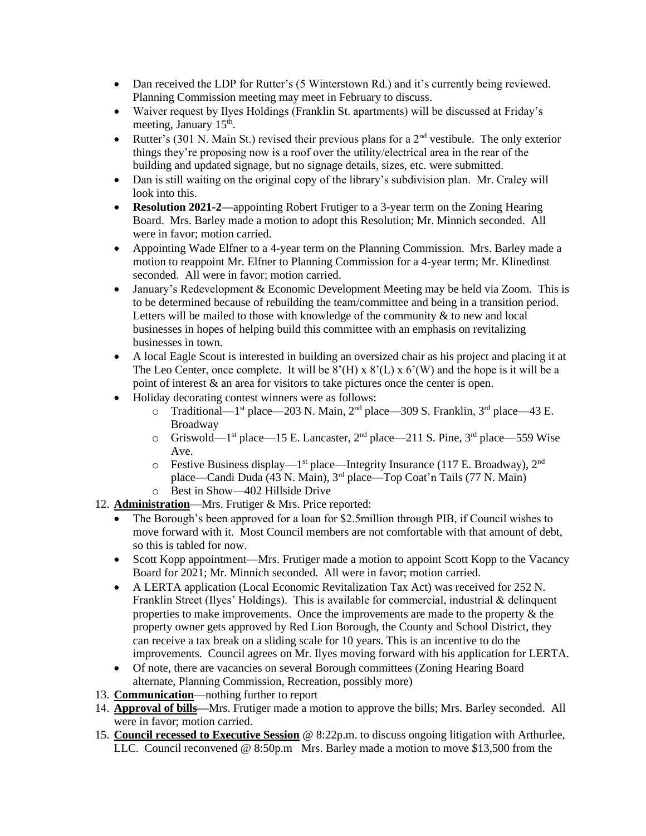- Dan received the LDP for Rutter's (5 Winterstown Rd.) and it's currently being reviewed. Planning Commission meeting may meet in February to discuss.
- Waiver request by Ilyes Holdings (Franklin St. apartments) will be discussed at Friday's meeting, January 15<sup>th</sup>.
- Rutter's (301 N. Main St.) revised their previous plans for a  $2<sup>nd</sup>$  vestibule. The only exterior things they're proposing now is a roof over the utility/electrical area in the rear of the building and updated signage, but no signage details, sizes, etc. were submitted.
- Dan is still waiting on the original copy of the library's subdivision plan. Mr. Craley will look into this.
- **Resolution 2021-2—appointing Robert Frutiger to a 3-year term on the Zoning Hearing** Board. Mrs. Barley made a motion to adopt this Resolution; Mr. Minnich seconded. All were in favor; motion carried.
- Appointing Wade Elfner to a 4-year term on the Planning Commission. Mrs. Barley made a motion to reappoint Mr. Elfner to Planning Commission for a 4-year term; Mr. Klinedinst seconded. All were in favor; motion carried.
- January's Redevelopment & Economic Development Meeting may be held via Zoom. This is to be determined because of rebuilding the team/committee and being in a transition period. Letters will be mailed to those with knowledge of the community & to new and local businesses in hopes of helping build this committee with an emphasis on revitalizing businesses in town.
- A local Eagle Scout is interested in building an oversized chair as his project and placing it at The Leo Center, once complete. It will be  $8'(H) \times 8'(L) \times 6'(W)$  and the hope is it will be a point of interest & an area for visitors to take pictures once the center is open.
- Holiday decorating contest winners were as follows:
	- $\circ$  Traditional—1<sup>st</sup> place—203 N. Main, 2<sup>nd</sup> place—309 S. Franklin, 3<sup>rd</sup> place—43 E. Broadway
	- $\circ$  Griswold—1<sup>st</sup> place—15 E. Lancaster, 2<sup>nd</sup> place—211 S. Pine, 3<sup>rd</sup> place—559 Wise Ave.
	- $\circ$  Festive Business display—1<sup>st</sup> place—Integrity Insurance (117 E. Broadway), 2<sup>nd</sup> place—Candi Duda (43 N. Main), 3rd place—Top Coat'n Tails (77 N. Main) o Best in Show—402 Hillside Drive
- 12. **Administration**—Mrs. Frutiger & Mrs. Price reported:
	- The Borough's been approved for a loan for \$2.5million through PIB, if Council wishes to move forward with it. Most Council members are not comfortable with that amount of debt, so this is tabled for now.
	- Scott Kopp appointment—Mrs. Frutiger made a motion to appoint Scott Kopp to the Vacancy Board for 2021; Mr. Minnich seconded. All were in favor; motion carried.
	- A LERTA application (Local Economic Revitalization Tax Act) was received for 252 N. Franklin Street (Ilyes' Holdings). This is available for commercial, industrial & delinquent properties to make improvements. Once the improvements are made to the property & the property owner gets approved by Red Lion Borough, the County and School District, they can receive a tax break on a sliding scale for 10 years. This is an incentive to do the improvements. Council agrees on Mr. Ilyes moving forward with his application for LERTA.
	- Of note, there are vacancies on several Borough committees (Zoning Hearing Board alternate, Planning Commission, Recreation, possibly more)
- 13. **Communication**—nothing further to report
- 14. **Approval of bills—**Mrs. Frutiger made a motion to approve the bills; Mrs. Barley seconded. All were in favor; motion carried.
- 15. **Council recessed to Executive Session** @ 8:22p.m. to discuss ongoing litigation with Arthurlee, LLC. Council reconvened @ 8:50p.m Mrs. Barley made a motion to move \$13,500 from the